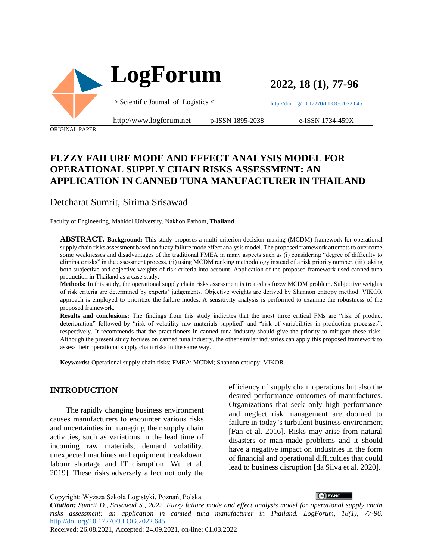

**2022, 18 (1), 77-96**

<http://doi.org/10.17270/J.LOG.2022.645>

e-ISSN 1734-459X

ORIGINAL PAPER

# **FUZZY FAILURE MODE AND EFFECT ANALYSIS MODEL FOR OPERATIONAL SUPPLY CHAIN RISKS ASSESSMENT: AN APPLICATION IN CANNED TUNA MANUFACTURER IN THAILAND**

Detcharat Sumrit, Sirima Srisawad

Faculty of Engineering, Mahidol University, Nakhon Pathom, **Thailand**

**ABSTRACT. Background:** This study proposes a multi-criterion decision-making (MCDM) framework for operational supply chain risks assessment based on fuzzy failure mode effect analysis model. The proposed framework attempts to overcome some weaknesses and disadvantages of the traditional FMEA in many aspects such as (i) considering "degree of difficulty to eliminate risks" in the assessment process, (ii) using MCDM ranking methodology instead of a risk priority number, (iii) taking both subjective and objective weights of risk criteria into account. Application of the proposed framework used canned tuna production in Thailand as a case study.

**Methods:** In this study, the operational supply chain risks assessment is treated as fuzzy MCDM problem. Subjective weights of risk criteria are determined by experts' judgements. Objective weights are derived by Shannon entropy method. VIKOR approach is employed to prioritize the failure modes. A sensitivity analysis is performed to examine the robustness of the proposed framework.

**Results and conclusions:** The findings from this study indicates that the most three critical FMs are "risk of product deterioration" followed by "risk of volatility raw materials supplied" and "risk of variabilities in production processes", respectively. It recommends that the practitioners in canned tuna industry should give the priority to mitigate these risks. Although the present study focuses on canned tuna industry, the other similar industries can apply this proposed framework to assess their operational supply chain risks in the same way.

**Keywords:** Operational supply chain risks; FMEA; MCDM; Shannon entropy; VIKOR

#### **INTRODUCTION**

The rapidly changing business environment causes manufacturers to encounter various risks and uncertainties in managing their supply chain activities, such as variations in the lead time of incoming raw materials, demand volatility, unexpected machines and equipment breakdown, labour shortage and IT disruption [Wu et al. 2019]. These risks adversely affect not only the

efficiency of supply chain operations but also the desired performance outcomes of manufactures. Organizations that seek only high performance and neglect risk management are doomed to failure in today's turbulent business environment [Fan et al. 2016]. Risks may arise from natural disasters or man-made problems and it should have a negative impact on industries in the form of financial and operational difficulties that could lead to business disruption [da Silva et al. 2020].

Copyright: Wyższa Szkoła Logistyki, Poznań, Polska

*Citation: Sumrit D., Srisawad S., 2022. Fuzzy failure mode and effect analysis model for operational supply chain risks assessment: an application in canned tuna manufacturer in Thailand. LogForum, 18(1), 77-96*. <http://doi.org/10.17270/J.LOG.2022.645>

Received: 26.08.2021, Accepted: 24.09.2021, on-line: 01.03.2022

 $\overline{(\text{c}c)}$  BY-NC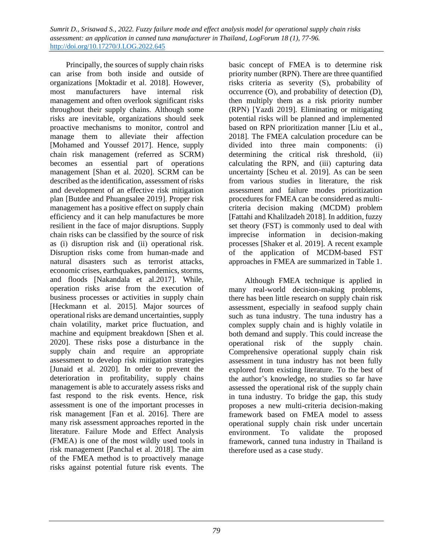Principally, the sources of supply chain risks can arise from both inside and outside of organizations [Moktadir et al. 2018]. However, most manufacturers have internal risk management and often overlook significant risks throughout their supply chains. Although some risks are inevitable, organizations should seek proactive mechanisms to monitor, control and manage them to alleviate their affection [Mohamed and Youssef 2017]. Hence, supply chain risk management (referred as SCRM) becomes an essential part of operations management [Shan et al. 2020]. SCRM can be described as the identification, assessment of risks and development of an effective risk mitigation plan [Butdee and Phuangsalee 2019]. Proper risk management has a positive effect on supply chain efficiency and it can help manufactures be more resilient in the face of major disruptions. Supply chain risks can be classified by the source of risk as (i) disruption risk and (ii) operational risk. Disruption risks come from human-made and natural disasters such as terrorist attacks, economic crises, earthquakes, pandemics, storms, and floods [Nakandala et al.2017]. While, operation risks arise from the execution of business processes or activities in supply chain [Heckmann et al. 2015]. Major sources of operational risks are demand uncertainties, supply chain volatility, market price fluctuation, and machine and equipment breakdown [Shen et al. 2020]. These risks pose a disturbance in the supply chain and require an appropriate assessment to develop risk mitigation strategies [Junaid et al. 2020]. In order to prevent the deterioration in profitability, supply chains management is able to accurately assess risks and fast respond to the risk events. Hence, risk assessment is one of the important processes in risk management [Fan et al. 2016]. There are many risk assessment approaches reported in the literature. Failure Mode and Effect Analysis (FMEA) is one of the most wildly used tools in risk management [Panchal et al. 2018]. The aim of the FMEA method is to proactively manage risks against potential future risk events. The

basic concept of FMEA is to determine risk priority number (RPN). There are three quantified risks criteria as severity (S), probability of occurrence (O), and probability of detection (D), then multiply them as a risk priority number (RPN) [Yazdi 2019]. Eliminating or mitigating potential risks will be planned and implemented based on RPN prioritization manner [Liu et al., 2018]. The FMEA calculation procedure can be divided into three main components: (i) determining the critical risk threshold, (ii) calculating the RPN, and (iii) capturing data uncertainty [Scheu et al. 2019]. As can be seen from various studies in literature, the risk assessment and failure modes prioritization procedures for FMEA can be considered as multicriteria decision making (MCDM) problem [Fattahi and Khalilzadeh 2018]. In addition, fuzzy set theory (FST) is commonly used to deal with imprecise information in decision-making processes [Shaker et al. 2019]. A recent example of the application of MCDM-based FST approaches in FMEA are summarized in Table 1.

Although FMEA technique is applied in many real-world decision-making problems, there has been little research on supply chain risk assessment, especially in seafood supply chain such as tuna industry. The tuna industry has a complex supply chain and is highly volatile in both demand and supply. This could increase the operational risk of the supply chain. Comprehensive operational supply chain risk assessment in tuna industry has not been fully explored from existing literature. To the best of the author's knowledge, no studies so far have assessed the operational risk of the supply chain in tuna industry. To bridge the gap, this study proposes a new multi-criteria decision-making framework based on FMEA model to assess operational supply chain risk under uncertain environment. To validate the proposed framework, canned tuna industry in Thailand is therefore used as a case study.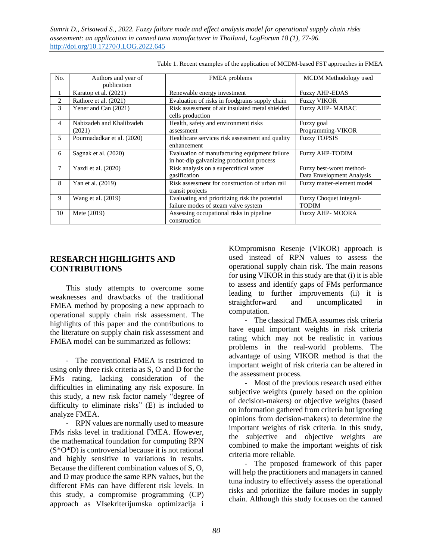| No.                      | Authors and year of<br>publication  | FMEA problems                                                                              | MCDM Methodology used                                 |
|--------------------------|-------------------------------------|--------------------------------------------------------------------------------------------|-------------------------------------------------------|
|                          | Karatop et al. (2021)               | Renewable energy investment                                                                | <b>Fuzzy AHP-EDAS</b>                                 |
| $\overline{c}$           | Rathore et al. (2021)               | Evaluation of risks in foodgrains supply chain                                             | <b>Fuzzy VIKOR</b>                                    |
| 3                        | Yener and Can (2021)                | Risk assessment of air insulated metal shielded<br>cells production                        | <b>Fuzzy AHP-MABAC</b>                                |
| 4                        | Nabizadeh and Khalilzadeh<br>(2021) | Health, safety and environment risks<br>assessment                                         | Fuzzy goal<br>Programming-VIKOR                       |
| $\overline{\phantom{0}}$ | Pourmadadkar et al. (2020)          | Healthcare services risk assessment and quality<br>enhancement                             | <b>Fuzzy TOPSIS</b>                                   |
| 6                        | Sagnak et al. (2020)                | Evaluation of manufacturing equipment failure<br>in hot-dip galvanizing production process | <b>Fuzzy AHP-TODIM</b>                                |
| 7                        | Yazdi et al. (2020)                 | Risk analysis on a supercritical water<br>gasification                                     | Fuzzy best-worst method-<br>Data Envelopment Analysis |
| 8                        | Yan et al. (2019)                   | Risk assessment for construction of urban rail<br>transit projects                         | Fuzzy matter-element model                            |
| 9                        | Wang et al. (2019)                  | Evaluating and prioritizing risk the potential<br>failure modes of steam valve system      | Fuzzy Choquet integral-<br><b>TODIM</b>               |
| 10                       | Mete $(2019)$                       | Assessing occupational risks in pipeline.<br>construction                                  | <b>Fuzzy AHP-MOORA</b>                                |

Table 1. Recent examples of the application of MCDM-based FST approaches in FMEA

## **RESEARCH HIGHLIGHTS AND CONTRIBUTIONS**

This study attempts to overcome some weaknesses and drawbacks of the traditional FMEA method by proposing a new approach to operational supply chain risk assessment. The highlights of this paper and the contributions to the literature on supply chain risk assessment and FMEA model can be summarized as follows:

- The conventional FMEA is restricted to using only three risk criteria as S, O and D for the FMs rating, lacking consideration of the difficulties in eliminating any risk exposure. In this study, a new risk factor namely "degree of difficulty to eliminate risks" (E) is included to analyze FMEA.

- RPN values are normally used to measure FMs risks level in traditional FMEA. However, the mathematical foundation for computing RPN (S\*O\*D) is controversial because it is not rational and highly sensitive to variations in results. Because the different combination values of S, O, and D may produce the same RPN values, but the different FMs can have different risk levels. In this study, a compromise programming (CP) approach as VIsekriterijumska optimizacija i

KOmpromisno Resenje (VIKOR) approach is used instead of RPN values to assess the operational supply chain risk. The main reasons for using VIKOR in this study are that (i) it is able to assess and identify gaps of FMs performance leading to further improvements (ii) it is straightforward and uncomplicated in computation.

- The classical FMEA assumes risk criteria have equal important weights in risk criteria rating which may not be realistic in various problems in the real-world problems. The advantage of using VIKOR method is that the important weight of risk criteria can be altered in the assessment process.

- Most of the previous research used either subjective weights (purely based on the opinion of decision-makers) or objective weights (based on information gathered from criteria but ignoring opinions from decision-makers) to determine the important weights of risk criteria. In this study, the subjective and objective weights are combined to make the important weights of risk criteria more reliable.

- The proposed framework of this paper will help the practitioners and managers in canned tuna industry to effectively assess the operational risks and prioritize the failure modes in supply chain. Although this study focuses on the canned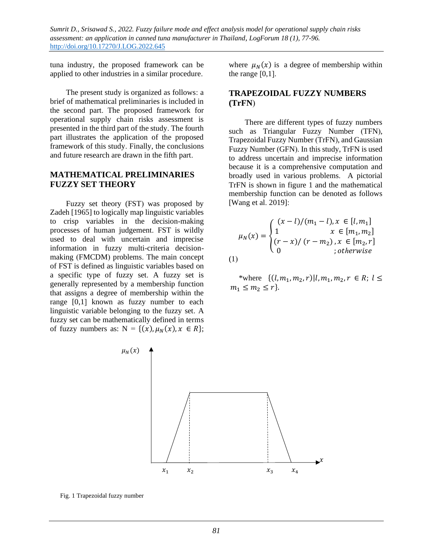tuna industry, the proposed framework can be applied to other industries in a similar procedure.

The present study is organized as follows: a brief of mathematical preliminaries is included in the second part. The proposed framework for operational supply chain risks assessment is presented in the third part of the study. The fourth part illustrates the application of the proposed framework of this study. Finally, the conclusions and future research are drawn in the fifth part.

### **MATHEMATICAL PRELIMINARIES FUZZY SET THEORY**

Fuzzy set theory (FST) was proposed by Zadeh [1965] to logically map linguistic variables to crisp variables in the decision-making processes of human judgement. FST is wildly used to deal with uncertain and imprecise information in fuzzy multi-criteria decisionmaking (FMCDM) problems. The main concept of FST is defined as linguistic variables based on a specific type of fuzzy set. A fuzzy set is generally represented by a membership function that assigns a degree of membership within the range [0,1] known as fuzzy number to each linguistic variable belonging to the fuzzy set. A fuzzy set can be mathematically defined in terms of fuzzy numbers as:  $N = \{(x), \mu_N(x), x \in R\};$ 

where  $\mu_N(x)$  is a degree of membership within the range  $[0,1]$ .

### **TRAPEZOIDAL FUZZY NUMBERS (TrFN**)

There are different types of fuzzy numbers such as Triangular Fuzzy Number (TFN), Trapezoidal Fuzzy Number (TrFN), and Gaussian Fuzzy Number (GFN). In this study, TrFN is used to address uncertain and imprecise information because it is a comprehensive computation and broadly used in various problems. A pictorial TrFN is shown in figure 1 and the mathematical membership function can be denoted as follows [Wang et al. 2019]:

$$
\mu_N(x) = \begin{cases}\n(x - l)/(m_1 - l), & x \in [l, m_1] \\
1 & x \in [m_1, m_2] \\
(r - x)/(r - m_2), & x \in [m_2, r] \\
0 & ; otherwise\n\end{cases}
$$
\n(1)

\*where  $\{(l, m_1, m_2, r) | l, m_1, m_2, r \in R; l \leq$  $m_1 \le m_2 \le r$ .



Fig. 1 Trapezoidal fuzzy number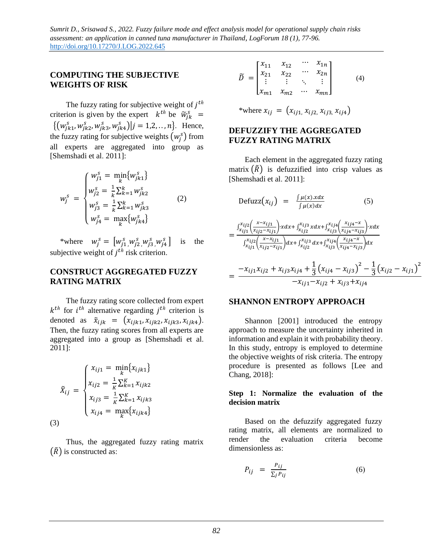### **COMPUTING THE SUBJECTIVE WEIGHTS OF RISK**

The fuzzy rating for subjective weight of  $j^{th}$ criterion is given by the expert  $k^{th}$  be  $\widetilde{w}_{jk}^s$  =  $\{ (w_{jk1}^s, w_{jk2}^s, w_{jk3}^s, w_{jk4}^s) | j = 1, 2, ..., n \}.$  Hence, the fuzzy rating for subjective weights  $(w_j^s)$  from all experts are aggregated into group as [Shemshadi et al. 2011]:

$$
w_j^s = \begin{cases} w_{j1}^s = \min_k \{ w_{jk1}^s \} \\ w_{j2}^s = \frac{1}{k} \sum_{k=1}^k w_{jk2}^s \\ w_{j3}^s = \frac{1}{k} \sum_{k=1}^k w_{jk3}^s \\ w_{j4}^s = \max_k \{ w_{jk4}^s \} \end{cases}
$$
(2)

\*where  $w_j^s = [w_{j1}^s, w_{j2}^s, w_{j3}^s, w_{j4}^s$ is the subjective weight of  $j^{th}$  risk criterion.

## **CONSTRUCT AGGREGATED FUZZY RATING MATRIX**

The fuzzy rating score collected from expert  $k^{th}$  for  $i^{th}$  alternative regarding  $j^{th}$  criterion is denoted as  $\tilde{x}_{ijk} = (x_{ijk1}, x_{ijk2}, x_{ijk3}, x_{ijk4}).$ Then, the fuzzy rating scores from all experts are aggregated into a group as [Shemshadi et al. 2011]:

$$
\tilde{X}_{ij} = \begin{cases}\n x_{ij1} = \min_{k} \{x_{ijk1}\} \\
 x_{ij2} = \frac{1}{K} \sum_{k=1}^{K} x_{ijk2} \\
 x_{ij3} = \frac{1}{K} \sum_{k=1}^{K} x_{ijk3} \\
 x_{ij4} = \max_{k} \{x_{ijk4}\}\n \end{cases}
$$
\n(3)

Thus, the aggregated fuzzy rating matrix  $(\tilde{R})$  is constructed as:

$$
\widetilde{D} = \begin{bmatrix} x_{11} & x_{12} & \cdots & x_{1n} \\ x_{21} & x_{22} & \cdots & x_{2n} \\ \vdots & \vdots & \ddots & \vdots \\ x_{m1} & x_{m2} & \cdots & x_{mn} \end{bmatrix}
$$
 (4)

<sup>\*</sup>where 
$$
x_{ij} = (x_{ij1}, x_{ij2}, x_{ij3}, x_{ij4})
$$

### **DEFUZZIFY THE AGGREGATED FUZZY RATING MATRIX**

Each element in the aggregated fuzzy rating matrix  $(\tilde{R})$  is defuzzified into crisp values as [Shemshadi et al. 2011]:

$$
\text{Defuzz}(x_{ij}) = \frac{\int \mu(x) \cdot x \, dx}{\int \mu(x) \, dx} \tag{5}
$$
\n
$$
\int_{x}^{x} \int_{x}^{x} \left( \frac{x - x_{ij1}}{x - x_{ij}} \right) \cdot x \, dx + \int_{x}^{x} \int_{x}^{x} \int_{x}^{x} \left( \frac{x_{ij4} - x}{x - x_{ij}} \right) \cdot x \, dx
$$

$$
= \frac{\int x_{ij1}^{x_{ij2} - x_{ij1}} \int x_{ik2}^{x_{ik3} - x_{ik4}} \int x_{ij3}^{x_{ij2}} \left( x_{ij4}^{x_{ij3}} - x_{ij5} \right) dx}{\int x_{ij1}^{x_{ij2}} \left( x_{ij2}^{x_{ik1}} \right) dx + \int x_{ij3}^{x_{ij3}} dx + \int x_{ij4}^{x_{ij4}} \left( x_{ij4}^{x_{ij4} - x_{ij5}} \right) dx}
$$
  
= 
$$
\frac{-x_{ij1} x_{ij2} + x_{ij3} x_{ij4} + \frac{1}{3} \left( x_{ij4} - x_{ij3} \right)^2 - \frac{1}{3} \left( x_{ij2} - x_{ij1} \right)^2}{-x_{ij1} - x_{ij2} + x_{ij3} + x_{ij4}}
$$

#### **SHANNON ENTROPY APPROACH**

Shannon [2001] introduced the entropy approach to measure the uncertainty inherited in information and explain it with probability theory. In this study, entropy is employed to determine the objective weights of risk criteria. The entropy procedure is presented as follows [Lee and Chang, 2018]:

#### **Step 1: Normalize the evaluation of the decision matrix**

Based on the defuzzify aggregated fuzzy rating matrix, all elements are normalized to render the evaluation criteria become dimensionless as:

$$
P_{ij} = \frac{P_{ij}}{\sum_j P_{ij}} \tag{6}
$$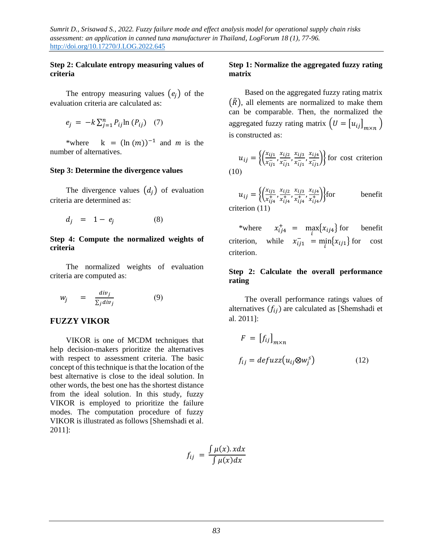### **Step 2: Calculate entropy measuring values of criteria**

The entropy measuring values  $(e_i)$  of the evaluation criteria are calculated as:

$$
e_j = -k \sum_{j=1}^n P_{ij} \ln (P_{ij}) \quad (7)
$$

\*where  $k = (\ln(m))^{-1}$  and *m* is the number of alternatives.

#### **Step 3: Determine the divergence values**

The divergence values  $(d_i)$  of evaluation criteria are determined as:

$$
d_j = 1 - e_j \tag{8}
$$

#### **Step 4: Compute the normalized weights of criteria**

The normalized weights of evaluation criteria are computed as:

$$
w_j = \frac{div_j}{\sum_j div_j} \tag{9}
$$

### **FUZZY VIKOR**

VIKOR is one of MCDM techniques that help decision-makers prioritize the alternatives with respect to assessment criteria. The basic concept of this technique is that the location of the best alternative is close to the ideal solution. In other words, the best one has the shortest distance from the ideal solution. In this study, fuzzy VIKOR is employed to prioritize the failure modes. The computation procedure of fuzzy VIKOR is illustrated as follows [Shemshadi et al. 2011]:

$$
f_{ij} = \frac{\int \mu(x). \, x dx}{\int \mu(x) dx}
$$

### **Step 1: Normalize the aggregated fuzzy rating matrix**

Based on the aggregated fuzzy rating matrix  $(\overline{R})$ , all elements are normalized to make them can be comparable. Then, the normalized the aggregated fuzzy rating matrix  $(U = [u_{ij}]_{m \times n})$ is constructed as:

 $u_{ij} = \left\{ \left( \frac{x_{ij1}}{x_{ij}} \right)$  $\frac{x_{ij1}}{x_{ij1}^-}$ ,  $\frac{x_{ij2}}{x_{ij1}^-}$  $\frac{x_{ij2}}{x_{ij1}^-}$ ,  $\frac{x_{ij3}}{x_{ij1}^-}$  $\frac{x_{ij3}}{x_{ij1}^-}$ ,  $\frac{x_{ij4}}{x_{ij1}^-}$  $\left\{\frac{x_{i j 4}}{x_{i j 1}}\right\}$  for cost criterion (10)

$$
u_{ij} = \left\{ \left( \frac{x_{ij1}}{x_{ij4}^+}, \frac{x_{ij2}}{x_{ij4}^+}, \frac{x_{ij3}}{x_{ij4}^+}, \frac{x_{ij4}}{x_{ij4}^+} \right) \right\}
$$
 for benefit criterion (11)

\*where  $x_{ij4}^+ = \max_i \{x_{ij4}\}$  for benefit criterion, while  $x_{ij1}^- = \min_i \{x_{ij1}\}$  for cost criterion.

#### **Step 2: Calculate the overall performance rating**

The overall performance ratings values of alternatives  $(f_{ii})$  are calculated as [Shemshadi et al. 2011]:

$$
F = [f_{ij}]_{m \times n}
$$
  

$$
f_{ij} = defuzz(u_{ij} \otimes w_j^s)
$$
 (12)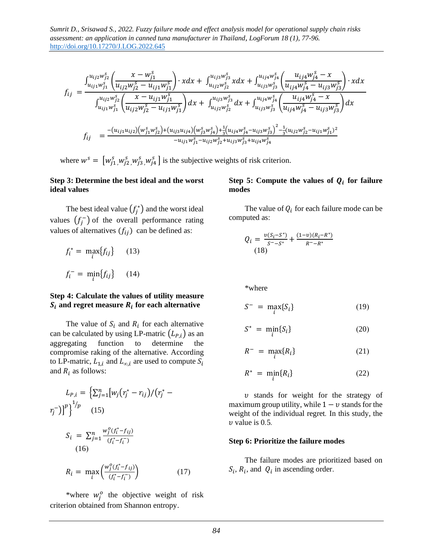$$
f_{ij} = \frac{\int_{u_{ij1}w_{j1}^s}^{u_{ij2}w_{j2}^s} \left(\frac{x - w_{j1}^s}{u_{ij2}w_{j2}^s - u_{ij1}w_{j1}^s}\right) \cdot x dx + \int_{u_{ij2}w_{j2}^s}^{u_{ij3}w_{j3}^s} x dx + \int_{u_{ij3}w_{j3}^s}^{u_{ij4}w_{j4}^s} \left(\frac{u_{ij4}w_{j4}^s - x}{u_{ij4}w_{j4}^s - u_{ij3}w_{j3}^s}\right) \cdot x dx}{\int_{u_{ij1}w_{j1}^s}^{u_{ij2}w_{j2}^s} \left(\frac{x - u_{ij1}w_{j1}^s}{u_{ij2}w_{j2}^s - u_{ij1}w_{j1}^s}\right) dx + \int_{u_{ij2}w_{j2}^s}^{u_{ij3}w_{j3}^s} dx + \int_{u_{ij3}w_{j3}^s}^{u_{ij4}w_{j4}^s} \left(\frac{u_{ij4}w_{j4}^s - x}{u_{ij4}w_{j4}^s - u_{ij3}w_{j3}^s}\right) dx
$$
  

$$
f_{ij} = \frac{-(u_{ij1}u_{ij2})(w_{j1}^s w_{j2}^s) + (u_{ij3}u_{ij4})(w_{j3}^s w_{j4}) + \frac{1}{3}(u_{ij4}w_{j4}^s - u_{ij3}w_{j3}^s)^2 - \frac{1}{3}(u_{ij2}w_{j2}^s - u_{ij1}w_{j1}^s)^2}{-u_{ij1}w_{j1}^s - u_{ij2}w_{j2}^s + u_{ij3}w_{j3}^s + u_{ij4}w_{j4}^s}
$$

where  $w^s = [w_{j1}^s, w_{j2}^s, w_{j3}^s, w_{j4}^s]$  is the subjective weights of risk criterion.

#### **Step 3: Determine the best ideal and the worst ideal values**

The best ideal value  $(f_j^*)$  and the worst ideal values  $(f_j^-)$  of the overall performance rating values of alternatives  $(f_{ij})$  can be defined as:

$$
f_i^* = \max_i \{ f_{ij} \} \qquad (13)
$$

$$
f_i^- = \min_i \{ f_{ij} \} \qquad (14)
$$

### **Step 4: Calculate the values of utility measure**   $\boldsymbol{S}_{\boldsymbol{t}}$  and regret measure  $\boldsymbol{R}_{\boldsymbol{t}}$  for each alternative

The value of  $S_i$  and  $R_i$  for each alternative can be calculated by using LP-matric  $(L_{P,i})$  as an aggregating function to determine the compromise raking of the alternative. According to LP-matric,  $L_{1,i}$  and  $L_{\infty,i}$  are used to compute  $S_i$ and  $R_i$  as follows:

$$
L_{P,i} = \left\{ \sum_{j=1}^{n} [w_j (r_j^* - r_{ij})/(r_j^* - r_j^*)]^{p} \right\}^{1/p}
$$
\n
$$
(15)
$$
\n
$$
S_i = \sum_{j=1}^{n} \frac{w_j^o (r_i^* - r_{ij})}{(r_i^* - r_i^-)}
$$
\n
$$
(16)
$$
\n
$$
R_i = \max_{i} \left( \frac{w_j^o (r_i^* - r_{ij})}{(r_i^* - r_i^-)} \right)
$$
\n
$$
(17)
$$

\*where  $w_j^o$  the objective weight of risk criterion obtained from Shannon entropy.

### Step 5: Compute the values of  $Q_i$  for failure **modes**

The value of  $Q_i$  for each failure mode can be computed as:

$$
Q_i = \frac{v(S_i - S^*)}{S^* - S^*} + \frac{(1 - v)(R_i - R^*)}{R^* - R^*}
$$
  
(18)

\*where

$$
S^{-} = \max_{i} \{ S_{i} \}
$$
 (19)

$$
S^* = \min_i \{ S_i \} \tag{20}
$$

$$
R^{-} = \max_{i} \{R_{i}\} \tag{21}
$$

$$
R^* = \min_i \{R_i\} \tag{22}
$$

 $v$  stands for weight for the strategy of maximum group utility, while  $1 - v$  stands for the weight of the individual regret*.* In this study, the value is 0*.*5*.* 

#### **Step 6: Prioritize the failure modes**

The failure modes are prioritized based on  $S_i$ ,  $R_i$ , and  $Q_i$  in ascending order.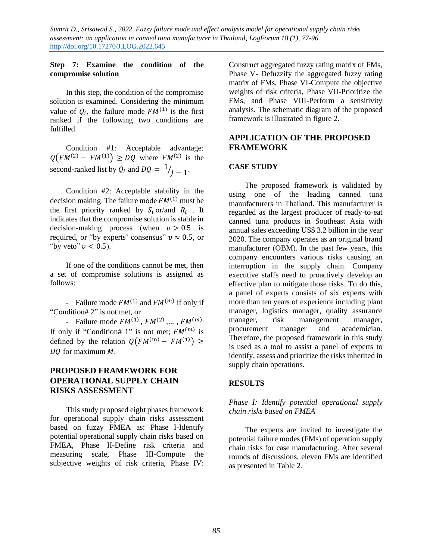### **Step 7: Examine the condition of the compromise solution**

In this step, the condition of the compromise solution is examined. Considering the minimum value of  $Q_i$ , the failure mode  $FM^{(1)}$  is the first ranked if the following two conditions are fulfilled.

Condition #1: Acceptable advantage:  $Q(FM^{(2)} - FM^{(1)}) \geq DQ$  where  $FM^{(2)}$  is the second-ranked list by  $Q_i$  and  $DQ = \frac{1}{J} - 1$ .

Condition #2: Acceptable stability in the decision making. The failure mode  $FM^{(1)}$  must be the first priority ranked by  $S_i$  or/and  $R_i$ . It indicates that the compromise solution is stable in decision-making process (when  $v > 0.5$  is required, or "by experts' consensus"  $v \approx 0.5$ , or "by veto"  $v < 0.5$ ).

If one of the conditions cannot be met, then a set of compromise solutions is assigned as follows:

- Failure mode  $FM^{(1)}$  and  $FM^{(m)}$  if only if "Condition# 2" is not met, or

- Failure mode  $FM^{(1)}$ ,  $FM^{(2)}$ , ...,  $FM^{(m)}$ . If only if "Condition# 1" is not met;  $FM<sup>(m)</sup>$  is defined by the relation  $Q(FM^{(m)} - FM^{(1)}) \ge$ DO for maximum *M*.

## **PROPOSED FRAMEWORK FOR OPERATIONAL SUPPLY CHAIN RISKS ASSESSMENT**

This study proposed eight phases framework for operational supply chain risks assessment based on fuzzy FMEA as: Phase I-Identify potential operational supply chain risks based on FMEA, Phase II-Define risk criteria and measuring scale, Phase III-Compute the subjective weights of risk criteria, Phase IV:

Construct aggregated fuzzy rating matrix of FMs, Phase V- Defuzzify the aggregated fuzzy rating matrix of FMs, Phase VI-Compute the objective weights of risk criteria, Phase VII-Prioritize the FMs, and Phase VIII-Perform a sensitivity analysis. The schematic diagram of the proposed framework is illustrated in figure 2.

## **APPLICATION OF THE PROPOSED FRAMEWORK**

### **CASE STUDY**

The proposed framework is validated by using one of the leading canned tuna manufacturers in Thailand. This manufacturer is regarded as the largest producer of ready-to-eat canned tuna products in Southeast Asia with annual sales exceeding US\$ 3.2 billion in the year 2020. The company operates as an original brand manufacturer (OBM). In the past few years, this company encounters various risks causing an interruption in the supply chain. Company executive staffs need to proactively develop an effective plan to mitigate those risks. To do this, a panel of experts consists of six experts with more than ten years of experience including plant manager, logistics manager, quality assurance manager, risk management manager, procurement manager and academician. Therefore, the proposed framework in this study is used as a tool to assist a panel of experts to identify, assess and prioritize the risks inherited in supply chain operations.

### **RESULTS**

#### *Phase I: Identify potential operational supply chain risks based on FMEA*

The experts are invited to investigate the potential failure modes (FMs) of operation supply chain risks for case manufacturing. After several rounds of discussions, eleven FMs are identified as presented in Table 2.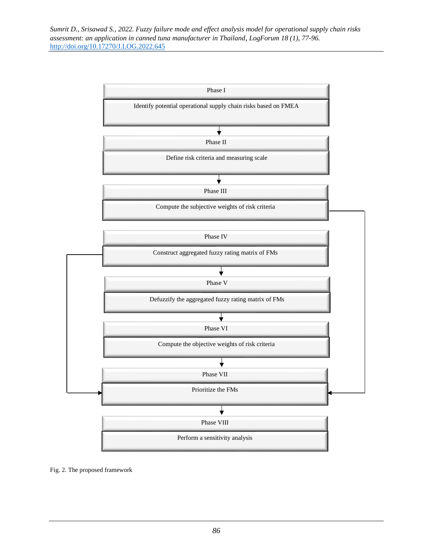

Fig. 2. The proposed framework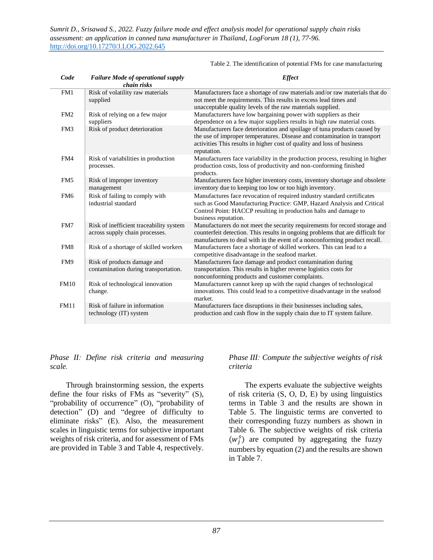| Code            | <b>Failure Mode of operational supply</b><br>chain risks                  | <b>Effect</b>                                                                                                                                                                                                                                 |
|-----------------|---------------------------------------------------------------------------|-----------------------------------------------------------------------------------------------------------------------------------------------------------------------------------------------------------------------------------------------|
| FM1             | Risk of volatility raw materials<br>supplied                              | Manufacturers face a shortage of raw materials and/or raw materials that do<br>not meet the requirements. This results in excess lead times and<br>unacceptable quality levels of the raw materials supplied.                                 |
| FM <sub>2</sub> | Risk of relying on a few major<br>suppliers                               | Manufacturers have low bargaining power with suppliers as their<br>dependence on a few major suppliers results in high raw material costs.                                                                                                    |
| FM3             | Risk of product deterioration                                             | Manufacturers face deterioration and spoilage of tuna products caused by<br>the use of improper temperatures. Disease and contamination in transport<br>activities This results in higher cost of quality and loss of business<br>reputation. |
| FM4             | Risk of variabilities in production<br>processes.                         | Manufacturers face variability in the production process, resulting in higher<br>production costs, loss of productivity and non-conforming finished<br>products.                                                                              |
| FM <sub>5</sub> | Risk of improper inventory<br>management                                  | Manufacturers face higher inventory costs, inventory shortage and obsolete<br>inventory due to keeping too low or too high inventory.                                                                                                         |
| FM <sub>6</sub> | Risk of failing to comply with<br>industrial standard                     | Manufactures face revocation of required industry standard certificates<br>such as Good Manufacturing Practice: GMP, Hazard Analysis and Critical<br>Control Point: HACCP resulting in production halts and damage to<br>business reputation. |
| FM7             | Risk of inefficient traceability system<br>across supply chain processes. | Manufacturers do not meet the security requirements for record storage and<br>counterfeit detection. This results in ongoing problems that are difficult for<br>manufactures to deal with in the event of a nonconforming product recall.     |
| FM8             | Risk of a shortage of skilled workers                                     | Manufacturers face a shortage of skilled workers. This can lead to a<br>competitive disadvantage in the seafood market.                                                                                                                       |
| FM9             | Risk of products damage and<br>contamination during transportation.       | Manufacturers face damage and product contamination during<br>transportation. This results in higher reverse logistics costs for<br>nonconforming products and customer complaints.                                                           |
| <b>FM10</b>     | Risk of technological innovation<br>change.                               | Manufacturers cannot keep up with the rapid changes of technological<br>innovations. This could lead to a competitive disadvantage in the seafood<br>market.                                                                                  |
| <b>FM11</b>     | Risk of failure in information<br>technology (IT) system                  | Manufacturers face disruptions in their businesses including sales,<br>production and cash flow in the supply chain due to IT system failure.                                                                                                 |

Table 2. The identification of potential FMs for case manufacturing

### *Phase II: Define risk criteria and measuring scale.*

Through brainstorming session, the experts define the four risks of FMs as "severity" (S), "probability of occurrence" (O), "probability of detection" (D) and "degree of difficulty to eliminate risks" (E). Also, the measurement scales in linguistic terms for subjective important weights of risk criteria, and for assessment of FMs are provided in Table 3 and Table 4, respectively.

### *Phase III: Compute the subjective weights of risk criteria*

The experts evaluate the subjective weights of risk criteria (S, O, D, E) by using linguistics terms in Table 3 and the results are shown in Table 5. The linguistic terms are converted to their corresponding fuzzy numbers as shown in Table 6. The subjective weights of risk criteria  $(w_j^s)$  are computed by aggregating the fuzzy numbers by equation (2) and the results are shown in Table 7.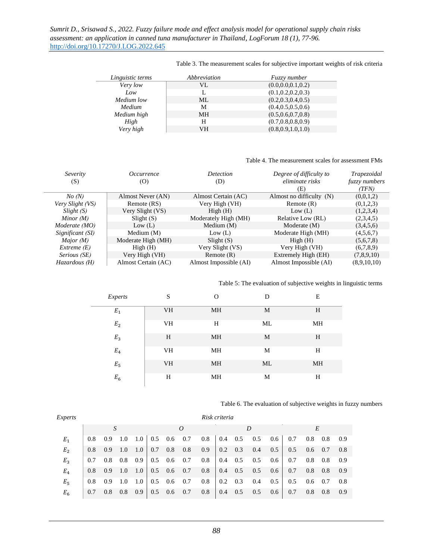| Linguistic terms | Abbreviation | <i>Fuzzy number</i>  |
|------------------|--------------|----------------------|
| Very low         | VL.          | (0.0, 0.0, 0.1, 0.2) |
| Low              | L            | (0.1, 0.2, 0.2, 0.3) |
| Medium low       | ML           | (0.2, 0.3, 0.4, 0.5) |
| Medium           | М            | (0.4, 0.5, 0.5, 0.6) |
| Medium high      | <b>MH</b>    | (0.5, 0.6, 0.7, 0.8) |
| High             | н            | (0.7, 0.8, 0.8, 0.9) |
| Very high        | VН           | (0.8, 0.9, 1.0, 1.0) |

Table 3. The measurement scales for subjective important weights of risk criteria

#### Table 4. The measurement scales for assessment FMs

| Severity<br>(S)  | <i>Occurrence</i><br>(O) | <b>Detection</b><br>(D) | Degree of difficulty to<br>eliminate risks<br>(E) | Trapezoidal<br><i>fuzzy numbers</i><br>(TFN) |
|------------------|--------------------------|-------------------------|---------------------------------------------------|----------------------------------------------|
| No(N)            | Almost Never (AN)        | Almost Certain (AC)     | Almost no difficulty (N)                          | (0,0,1,2)                                    |
| Very Slight (VS) | Remote (RS)              | Very High (VH)          | Remote $(R)$                                      | (0,1,2,3)                                    |
| Slight(S)        | Very Slight (VS)         | High(H)                 | Low (L)                                           | (1,2,3,4)                                    |
| Minor $(M)$      | Slight(S)                | Moderately High (MH)    | Relative Low (RL)                                 | (2,3,4,5)                                    |
| Moderate (MO)    | Low (L)                  | Medium $(M)$            | Moderate (M)                                      | (3,4,5,6)                                    |
| Significant (SI) | Medium $(M)$             | Low (L)                 | Moderate High (MH)                                | (4,5,6,7)                                    |
| Major $(M)$      | Moderate High (MH)       | Slight(S)               | High(H)                                           | (5,6,7,8)                                    |
| Extreme (E)      | High(H)                  | Very Slight (VS)        | Very High (VH)                                    | (6,7,8,9)                                    |
| Serious (SE)     | Very High (VH)           | Remote $(R)$            | Extremely High (EH)                               | (7,8,9,10)                                   |
| $Hazardous$ (H)  | Almost Certain (AC)      | Almost Impossible (AI)  | Almost Impossible (AI)                            | (8,9,10,10)                                  |

Table 5: The evaluation of subjective weights in linguistic terms

| Experts            | S         | $\Omega$ | D  | Ε  |
|--------------------|-----------|----------|----|----|
| $\,E_1$            | VH        | MH       | M  | H  |
| $\boldsymbol{E}_2$ | <b>VH</b> | H        | ML | MH |
| $E_{3}$            | H         | MH       | M  | H  |
| $\,E_4$            | <b>VH</b> | MH       | M  | H  |
| $E_5$              | VH        | MH       | ML | MH |
| $E_6$              | H         | МH       | M  | Н  |

Table 6. The evaluation of subjective weights in fuzzy numbers

| <i>Experts</i> | Risk criteria |                 |         |               |            |                                    |     |         |                 |     |     |     |     |                 |     |     |
|----------------|---------------|-----------------|---------|---------------|------------|------------------------------------|-----|---------|-----------------|-----|-----|-----|-----|-----------------|-----|-----|
| S              |               |                 |         | D<br>$\Omega$ |            |                                    |     |         |                 |     | E   |     |     |                 |     |     |
| $E_1$          | $0.8^{\circ}$ | $0.9 \quad 1.0$ |         |               |            | $1.0$   0.5 0.6 0.7                |     | $0.8\,$ | $0.4\quad 0.5$  |     | 0.5 | 0.6 | 0.7 | 0.8             | 0.8 | 0.9 |
| E <sub>2</sub> | 0.8           | 0.9             | - 1.0   | 1.0           | $\mid$ 0.7 | 0.8                                | 0.8 | 0.9     | $0.2 \quad 0.3$ |     | 0.4 | 0.5 | 0.5 | $0.6 \quad 0.7$ |     | 0.8 |
| $E_3$          | 0.7           | 0.8             | $0.8\,$ | 0.9           |            | $0.5$ 0.6 0.7                      |     | $0.8\,$ | $0.4\quad 0.5$  |     | 0.5 | 0.6 | 0.7 | 0.8             | 0.8 | 0.9 |
| $E_4$          | 0.8           | 0.9             | 1.0     |               |            | $1.0 \mid 0.5 \quad 0.6 \quad 0.7$ |     | 0.8     | $0.4\quad 0.5$  |     | 0.5 | 0.6 | 0.7 | 0.8             | 0.8 | 0.9 |
| $E_5$          | 0.8           | 0.9             | 1.0     | 1.0           |            | $0.5$ 0.6 0.7                      |     | 0.8     | $0.2 \quad 0.3$ |     | 0.4 | 0.5 | 0.5 | $0.6 \quad 0.7$ |     | 0.8 |
| $E_6$          | 0.7           | 0.8             | 0.8     | 0.9           |            | $0.5 \quad 0.6$                    | 0.7 | 0.8     | 0.4             | 0.5 | 0.5 | 0.6 | 0.7 | 0.8             | 0.8 | 0.9 |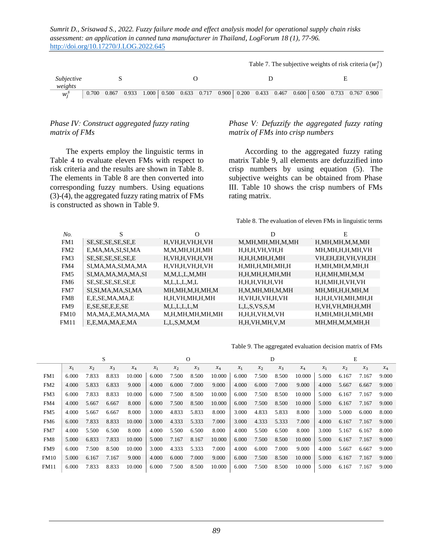|                    | Table 7. The subjective weights of risk criteria $(wis)$ |  |  |  |  |  |  |  |  |  |   |  |                                                                                                                                 |  |  |  |
|--------------------|----------------------------------------------------------|--|--|--|--|--|--|--|--|--|---|--|---------------------------------------------------------------------------------------------------------------------------------|--|--|--|
| Subjective         |                                                          |  |  |  |  |  |  |  |  |  | н |  |                                                                                                                                 |  |  |  |
| weights<br>$W_i^S$ |                                                          |  |  |  |  |  |  |  |  |  |   |  | $0.700$ $0.867$ $0.933$ $1.000$ $0.500$ $0.633$ $0.717$ $0.900$ $0.200$ $0.433$ $0.467$ $0.600$ $0.500$ $0.733$ $0.767$ $0.900$ |  |  |  |
|                    |                                                          |  |  |  |  |  |  |  |  |  |   |  |                                                                                                                                 |  |  |  |

#### *Phase IV: Construct aggregated fuzzy rating matrix of FMs*

The experts employ the linguistic terms in Table 4 to evaluate eleven FMs with respect to risk criteria and the results are shown in Table 8. The elements in Table 8 are then converted into corresponding fuzzy numbers. Using equations (3)-(4), the aggregated fuzzy rating matrix of FMs is constructed as shown in Table 9.

#### *Phase V: Defuzzify the aggregated fuzzy rating matrix of FMs into crisp numbers*

According to the aggregated fuzzy rating matrix Table 9, all elements are defuzzified into crisp numbers by using equation (5). The subjective weights can be obtained from Phase III. Table 10 shows the crisp numbers of FMs rating matrix.

Table 8. The evaluation of eleven FMs in linguistic terms

| No.         | S                     | O                   | D                   | E                    |
|-------------|-----------------------|---------------------|---------------------|----------------------|
| FM1         | SE, SE, SE, SE, SE, E | H, VH, H, VH, H, VH | M,MH,MH,MH,M,MH     | H,MH,MH,M,M,MH       |
| FM2         | E,MA,MA,SI,SI,MA      | M,M,MH,H,H,MH       | H,H,H,VH,VH,H       | MH,MH,H,H,MH,VH      |
| FM3         | SE, SE, SE, SE, SE, E | H, VH, H, VH, H, VH | H, H, H, MH, H, MH  | VH,EH,EH,VH,VH,EH    |
| FM4         | SI,MA,MA,SI,MA,MA     | H, VH, H, VH, H, VH | H,MH,H,MH,MH,H      | H,MH,MH,M,MH,H       |
| FM5         | SI,MA,MA,MA,MA,SI     | M,M,L,L,M,MH        | H,H,MH,H,MH,MH      | H, H, MH, MH, M, M   |
| FM6         | SE, SE, SE, SE, SE, E | M, L, L, L, M, L    | H, H, H, VH, H, VH  | H,H,MH,H,VH,VH       |
| FM7         | SI,SI,MA,MA,SI,MA     | MH,MH,M,H,MH,M      | H,M,MH,MH,M,MH      | MH,MH,H,H,MH,M       |
| FM8         | E,E,SE,MA,MA,E        | H,H,VH,MH,H,MH      | H, VH, H, VH, H, VH | H,H,H,VH,MH,MH,H     |
| FM9         | E, S.E, E, E, S.E.    | M, L, L, L, L, M    | L, L, S, VS, S, M   | H, VH, VH, MH, H, MH |
| <b>FM10</b> | MA, MA, E, MA, MA, MA | M,H,MH,MH,MH,MH     | H,H,H,VH,M,VH       | H,MH,MH,H,MH,MH      |
| FM11        | E,E,MA,MA,E,MA        | L, L, S, M, M, M    | H,H,VH,MH,V,M       | MH,MH,M,M,MH,H       |

Table 9. The aggregated evaluation decision matrix of FMs

|                 | S     |       |       |        |       |       | Ω     |        |       |       | D     |        |       |       | E     |       |
|-----------------|-------|-------|-------|--------|-------|-------|-------|--------|-------|-------|-------|--------|-------|-------|-------|-------|
|                 | $x_1$ | $x_2$ | $x_3$ | $x_4$  | $x_1$ | $x_2$ | $x_3$ | $x_4$  | $x_1$ | $x_2$ | $x_3$ | $x_4$  | $x_1$ | $x_2$ | $x_3$ | $x_4$ |
| FM1             | 6.000 | 7.833 | 8.833 | 10.000 | 6.000 | 7.500 | 8.500 | 10.000 | 6.000 | 7.500 | 8.500 | 10.000 | 5.000 | 6.167 | 7.167 | 9.000 |
| FM <sub>2</sub> | 4.000 | 5.833 | 6.833 | 9.000  | 4.000 | 6.000 | 7.000 | 9.000  | 4.000 | 6.000 | 7.000 | 9.000  | 4.000 | 5.667 | 6.667 | 9.000 |
| FM3             | 6.000 | 7.833 | 8.833 | 10.000 | 6.000 | 7.500 | 8.500 | 10.000 | 6.000 | 7.500 | 8.500 | 10.000 | 5.000 | 6.167 | 7.167 | 9.000 |
| FM4             | 4.000 | 5.667 | 6.667 | 8.000  | 6.000 | 7.500 | 8.500 | 10.000 | 6.000 | 7.500 | 8.500 | 10.000 | 5.000 | 6.167 | 7.167 | 9.000 |
| FM5             | 4.000 | 5.667 | 6.667 | 8.000  | 3.000 | 4.833 | 5.833 | 8.000  | 3.000 | 4.833 | 5.833 | 8.000  | 3.000 | 5.000 | 6.000 | 8.000 |
| FM <sub>6</sub> | 6.000 | 7.833 | 8.833 | 10.000 | 3.000 | 4.333 | 5.333 | 7.000  | 3.000 | 4.333 | 5.333 | 7.000  | 4.000 | 6.167 | 7.167 | 9.000 |
| FM7             | 4.000 | 5.500 | 6.500 | 8.000  | 4.000 | 5.500 | 6.500 | 8.000  | 4.000 | 5.500 | 6.500 | 8.000  | 3.000 | 5.167 | 6.167 | 8.000 |
| FM8             | 5.000 | 6.833 | 7.833 | 10.000 | 5.000 | 7.167 | 8.167 | 10.000 | 6.000 | 7.500 | 8.500 | 10.000 | 5.000 | 6.167 | 7.167 | 9.000 |
| FM9             | 6.000 | 7.500 | 8.500 | 10.000 | 3.000 | 4.333 | 5.333 | 7.000  | 4.000 | 6.000 | 7.000 | 9.000  | 4.000 | 5.667 | 6.667 | 9.000 |
| <b>FM10</b>     | 5.000 | 6.167 | 7.167 | 9.000  | 4.000 | 6.000 | 7.000 | 9.000  | 6.000 | 7.500 | 8.500 | 10.000 | 5.000 | 6.167 | 7.167 | 9.000 |
| <b>FM11</b>     | 6.000 | 7.833 | 8.833 | 10.000 | 6.000 | 7.500 | 8.500 | 10.000 | 6.000 | 7.500 | 8.500 | 10.000 | 5.000 | 6.167 | 7.167 | 9.000 |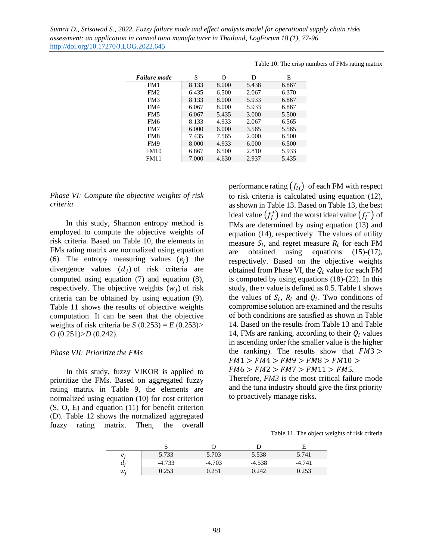|                 |       |       |       | $10012$ 10. $102$ $100$ $100$ |
|-----------------|-------|-------|-------|-------------------------------|
| Failure mode    | S     | Ω     | D     | E                             |
| FM1             | 8.133 | 8.000 | 5.438 | 6.867                         |
| FM2             | 6.435 | 6.500 | 2.067 | 6.370                         |
| FM3             | 8.133 | 8.000 | 5.933 | 6.867                         |
| FM4             | 6.067 | 8.000 | 5.933 | 6.867                         |
| FM <sub>5</sub> | 6.067 | 5.435 | 3.000 | 5.500                         |
| FM6             | 8.133 | 4.933 | 2.067 | 6.565                         |
| FM7             | 6.000 | 6.000 | 3.565 | 5.565                         |
| FM8             | 7.435 | 7.565 | 2.000 | 6.500                         |
| FM9             | 8.000 | 4.933 | 6.000 | 6.500                         |
| <b>FM10</b>     | 6.867 | 6.500 | 2.810 | 5.933                         |
| FM11            | 7.000 | 4.630 | 2.937 | 5.435                         |
|                 |       |       |       |                               |

Table 10. The crisp numbers of FMs rating matrix

#### *Phase VI: Compute the objective weights of risk criteria*

In this study, Shannon entropy method is employed to compute the objective weights of risk criteria. Based on Table 10, the elements in FMs rating matrix are normalized using equation (6). The entropy measuring values  $(e_i)$  the divergence values  $(d_i)$  of risk criteria are computed using equation (7) and equation (8), respectively. The objective weights  $(w_i)$  of risk criteria can be obtained by using equation (9). Table 11 shows the results of objective weights computation. It can be seen that the objective weights of risk criteria be  $S(0.253) = E(0.253)$ *O* (0.251)*>D* (0.242).

#### *Phase VII: Prioritize the FMs*

In this study, fuzzy VIKOR is applied to prioritize the FMs. Based on aggregated fuzzy rating matrix in Table 9, the elements are normalized using equation (10) for cost criterion (S, O, E) and equation (11) for benefit criterion (D). Table 12 shows the normalized aggregated fuzzy rating matrix. Then, the overall

performance rating  $(f_{ii})$  of each FM with respect to risk criteria is calculated using equation (12), as shown in Table 13. Based on Table 13, the best ideal value  $\left(f_j^*\right)$  and the worst ideal value  $\left(f_j^-\right)$  of FMs are determined by using equation (13) and equation (14), respectively. The values of utility measure  $S_i$ , and regret measure  $R_i$  for each FM are obtained using equations (15)-(17), respectively. Based on the objective weights obtained from Phase VI, the  $Q_i$  value for each FM is computed by using equations (18)-(22). In this study, the  $\nu$  value is defined as 0.5. Table 1 shows the values of  $S_i$ ,  $R_i$  and  $Q_i$ . Two conditions of compromise solution are examined and the results of both conditions are satisfied as shown in Table 14. Based on the results from Table 13 and Table 14, FMs are ranking, according to their  $Q_i$  values in ascending order (the smaller value is the higher the ranking). The results show that  $FM3 >$  $FM1 > FM4 > FM9 > FM8 > FM10 >$  $FM6 > FM2 > FM7 > FM11 > FM5$ .

Therefore, *FM3* is the most critical failure mode and the tuna industry should give the first priority to proactively manage risks.

Table 11. The object weights of risk criteria

|       |          |          |          | Е        |
|-------|----------|----------|----------|----------|
| $e_i$ | 5.733    | 5.703    | 5.538    | 5.741    |
| a,    | $-4.733$ | $-4.703$ | $-4.538$ | $-4.741$ |
| $W_i$ | 0.253    | 0.251    | 0.242    | 0.253    |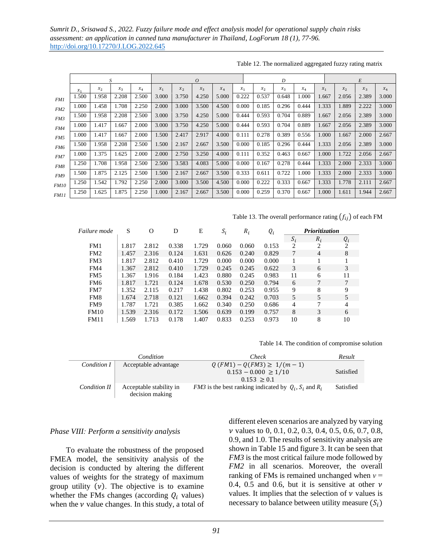|             |          |         | S     |       |       |       | $\overline{O}$ |       |       |         | $\boldsymbol{D}$ |       |       |         | $\cal E$ |       |
|-------------|----------|---------|-------|-------|-------|-------|----------------|-------|-------|---------|------------------|-------|-------|---------|----------|-------|
|             | $\chi_1$ | $x_{2}$ | $x_3$ | $x_4$ | $x_1$ | $x_2$ | $x_3$          | $x_4$ | $x_1$ | $x_{2}$ | $x_3$            | $x_4$ | $x_1$ | $x_{2}$ | $x_3$    | $x_4$ |
| FM1         | 1.500    | 1.958   | 2.208 | 2.500 | 3.000 | 3.750 | 4.250          | 5.000 | 0.222 | 0.537   | 0.648            | 1.000 | 1.667 | 2.056   | 2.389    | 3.000 |
| FM2         | 1.000    | 1.458   | 1.708 | 2.250 | 2.000 | 3.000 | 3.500          | 4.500 | 0.000 | 0.185   | 0.296            | 0.444 | 1.333 | 1.889   | 2.222    | 3.000 |
| FM3         | 1.500    | 1.958   | 2.208 | 2.500 | 3.000 | 3.750 | 4.250          | 5.000 | 0.444 | 0.593   | 0.704            | 0.889 | 1.667 | 2.056   | 2.389    | 3.000 |
| FM4         | 1.000    | 1.417   | 1.667 | 2.000 | 3.000 | 3.750 | 4.250          | 5.000 | 0.444 | 0.593   | 0.704            | 0.889 | 1.667 | 2.056   | 2.389    | 3.000 |
| FM5         | 1.000    | 1.417   | 1.667 | 2.000 | 1.500 | 2.417 | 2.917          | 4.000 | 0.111 | 0.278   | 0.389            | 0.556 | 1.000 | 1.667   | 2.000    | 2.667 |
| FM6         | 1.500    | 1.958   | 2.208 | 2.500 | 1.500 | 2.167 | 2.667          | 3.500 | 0.000 | 0.185   | 0.296            | 0.444 | 1.333 | 2.056   | 2.389    | 3.000 |
| FM7         | 1.000    | 1.375   | 1.625 | 2.000 | 2.000 | 2.750 | 3.250          | 4.000 | 0.111 | 0.352   | 0.463            | 0.667 | 1.000 | 1.722   | 2.056    | 2.667 |
| FM8         | 1.250    | 1.708   | 1.958 | 2.500 | 2.500 | 3.583 | 4.083          | 5.000 | 0.000 | 0.167   | 0.278            | 0.444 | 1.333 | 2.000   | 2.333    | 3.000 |
| FM9         | 1.500    | 1.875   | 2.125 | 2.500 | 1.500 | 2.167 | 2.667          | 3.500 | 0.333 | 0.611   | 0.722            | 1.000 | 1.333 | 2.000   | 2.333    | 3.000 |
| <b>FM10</b> | 1.250    | 1.542   | 1.792 | 2.250 | 2.000 | 3.000 | 3.500          | 4.500 | 0.000 | 0.222   | 0.333            | 0.667 | 1.333 | 1.778   | 2.111    | 2.667 |
| <b>FM11</b> | 1.250    | 1.625   | 1.875 | 2.250 | 1.000 | 2.167 | 2.667          | 3.500 | 0.000 | 0.259   | 0.370            | 0.667 | 1.000 | 1.611   | 1.944    | 2.667 |

Table 12. The normalized aggregated fuzzy rating matrix

Table 13. The overall performance rating  $(f_{ij})$  of each FM

| Failure mode    | S     | O     | D     | Е     | $S_i$ | $R_i$ | $Q_i$ | Prioritization |                |       |  |
|-----------------|-------|-------|-------|-------|-------|-------|-------|----------------|----------------|-------|--|
|                 |       |       |       |       |       |       |       | $S_i$          | $R_i$          | $Q_i$ |  |
| FM1             | 1.817 | 2.812 | 0.338 | 1.729 | 0.060 | 0.060 | 0.153 | 2              | 2              | 2     |  |
| FM <sub>2</sub> | 1.457 | 2.316 | 0.124 | 1.631 | 0.626 | 0.240 | 0.829 | 7              | $\overline{4}$ | 8     |  |
| FM3             | 1.817 | 2.812 | 0.410 | 1.729 | 0.000 | 0.000 | 0.000 |                |                |       |  |
| FM4             | 1.367 | 2.812 | 0.410 | 1.729 | 0.245 | 0.245 | 0.622 | 3              | 6              | 3     |  |
| FM <sub>5</sub> | 1.367 | 1.916 | 0.184 | 1.423 | 0.880 | 0.245 | 0.983 | 11             | 6              | 11    |  |
| FM6             | 1.817 | 1.721 | 0.124 | 1.678 | 0.530 | 0.250 | 0.794 | 6              | 7              | 7     |  |
| FM7             | 1.352 | 2.115 | 0.217 | 1.438 | 0.802 | 0.253 | 0.955 | 9              | 8              | 9     |  |
| FM <sub>8</sub> | 1.674 | 2.718 | 0.121 | 1.662 | 0.394 | 0.242 | 0.703 | 5              | 5              | 5     |  |
| FM9             | 1.787 | 1.721 | 0.385 | 1.662 | 0.340 | 0.250 | 0.686 | 4              | 7              | 4     |  |
| <b>FM10</b>     | 1.539 | 2.316 | 0.172 | 1.506 | 0.639 | 0.199 | 0.757 | 8              | 3              | 6     |  |
| <b>FM11</b>     | 1.569 | 1.713 | 0.178 | 1.407 | 0.833 | 0.253 | 0.973 | 10             | 8              | 10    |  |

Table 14. The condition of compromise solution

|              | Condition                                  | Check                                                                     | Result    |
|--------------|--------------------------------------------|---------------------------------------------------------------------------|-----------|
| Condition I  | Acceptable advantage                       | $Q(FM1) - Q(FM3) \geq 1/(m-1)$<br>$0.153 - 0.000 \ge 1/10$<br>0.153 > 0.1 | Satisfied |
| Condition II | Acceptable stability in<br>decision making | <i>FM3</i> is the best ranking indicated by $Q_i$ , $S_i$ and $R_i$       | Satisfied |

### *Phase VIII: Perform a sensitivity analysis*

To evaluate the robustness of the proposed FMEA model, the sensitivity analysis of the decision is conducted by altering the different values of weights for the strategy of maximum group utility  $(v)$ . The objective is to examine whether the FMs changes (according  $Q_i$  values) when the  $\nu$  value changes. In this study, a total of different eleven scenarios are analyzed by varying *v* values to 0, 0.1, 0.2, 0.3, 0.4, 0.5, 0.6, 0.7, 0.8, 0.9, and 1.0. The results of sensitivity analysis are shown in Table 15 and figure 3. It can be seen that *FM3* is the most critical failure mode followed by *FM2* in all scenarios. Moreover, the overall ranking of FMs is remained unchanged when *ν* = 0.4, 0.5 and 0.6, but it is sensitive at other  $\nu$ values. It implies that the selection of  $\nu$  values is necessary to balance between utility measure  $(S_i)$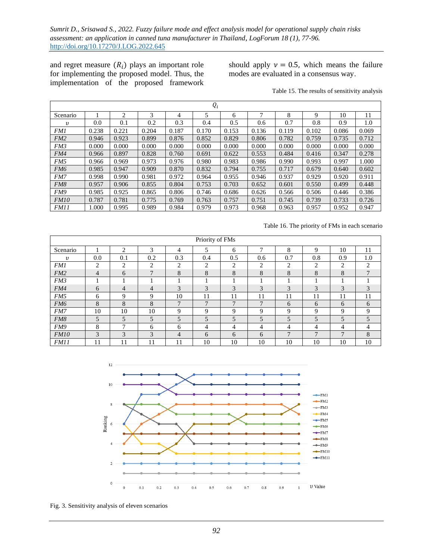and regret measure  $(R_i)$  plays an important role for implementing the proposed model. Thus, the implementation of the proposed framework

should apply  $v = 0.5$ , which means the failure modes are evaluated in a consensus way.

|  |  | Table 15. The results of sensitivity analysis |  |
|--|--|-----------------------------------------------|--|
|  |  |                                               |  |

| $Q_i$           |       |       |       |       |       |       |       |       |       |       |       |
|-----------------|-------|-------|-------|-------|-------|-------|-------|-------|-------|-------|-------|
| Scenario        |       | 2     | 3     | 4     | 5     | 6     | 7     | 8     | 9     | 10    | 11    |
| υ               | 0.0   | 0.1   | 0.2   | 0.3   | 0.4   | 0.5   | 0.6   | 0.7   | 0.8   | 0.9   | 1.0   |
| <b>FM1</b>      | 0.238 | 0.221 | 0.204 | 0.187 | 0.170 | 0.153 | 0.136 | 0.119 | 0.102 | 0.086 | 0.069 |
| FM <sub>2</sub> | 0.946 | 0.923 | 0.899 | 0.876 | 0.852 | 0.829 | 0.806 | 0.782 | 0.759 | 0.735 | 0.712 |
| FM3             | 0.000 | 0.000 | 0.000 | 0.000 | 0.000 | 0.000 | 0.000 | 0.000 | 0.000 | 0.000 | 0.000 |
| FM4             | 0.966 | 0.897 | 0.828 | 0.760 | 0.691 | 0.622 | 0.553 | 0.484 | 0.416 | 0.347 | 0.278 |
| FM5             | 0.966 | 0.969 | 0.973 | 0.976 | 0.980 | 0.983 | 0.986 | 0.990 | 0.993 | 0.997 | 1.000 |
| FM6             | 0.985 | 0.947 | 0.909 | 0.870 | 0.832 | 0.794 | 0.755 | 0.717 | 0.679 | 0.640 | 0.602 |
| FM7             | 0.998 | 0.990 | 0.981 | 0.972 | 0.964 | 0.955 | 0.946 | 0.937 | 0.929 | 0.920 | 0.911 |
| FM8             | 0.957 | 0.906 | 0.855 | 0.804 | 0.753 | 0.703 | 0.652 | 0.601 | 0.550 | 0.499 | 0.448 |
| FM9             | 0.985 | 0.925 | 0.865 | 0.806 | 0.746 | 0.686 | 0.626 | 0.566 | 0.506 | 0.446 | 0.386 |
| FM10            | 0.787 | 0.781 | 0.775 | 0.769 | 0.763 | 0.757 | 0.751 | 0.745 | 0.739 | 0.733 | 0.726 |
| <i>FM11</i>     | 1.000 | 0.995 | 0.989 | 0.984 | 0.979 | 0.973 | 0.968 | 0.963 | 0.957 | 0.952 | 0.947 |

Table 16. The priority of FMs in each scenario

| Priority of FMs |     |                |                |                |                          |                |                |     |                |              |                |
|-----------------|-----|----------------|----------------|----------------|--------------------------|----------------|----------------|-----|----------------|--------------|----------------|
| Scenario        |     | $\overline{c}$ | 3              | 4              | 5                        | 6              | π              | 8   | $\mathbf Q$    | 10           | 11             |
| υ               | 0.0 | 0.1            | 0.2            | 0.3            | 0.4                      | 0.5            | 0.6            | 0.7 | 0.8            | 0.9          | 1.0            |
| <i>FM1</i>      | 2   | 2              | $\overline{c}$ | $\overline{c}$ | 2                        | $\mathcal{L}$  | $\overline{c}$ | 2   | $\overline{c}$ | 2            | 2              |
| FM2             | 4   | 6              | $\mathbf{r}$   | 8              | 8                        | 8              | 8              | 8   | 8              | 8            | $\overline{7}$ |
| FM <sub>3</sub> |     |                |                |                |                          |                |                |     |                |              |                |
| FM4             | 6   | 4              | 4              | 3              | 3                        | 3              | 3              | 3   | 3              | 3            | 3              |
| FM5             | 6   | 9              | $\mathbf Q$    | 10             | 11                       | 11             | 11             | 11  | 11             | 11           | 11             |
| FM <sub>6</sub> | 8   | 8              | 8              | $\mathbf{r}$   | $\mathbf{r}$             | $\mathbf{r}$   | 7              | 6   | 6              | 6            | 6              |
| FM7             | 10  | 10             | 10             | 9              | Q                        | 9              | 9              | 9   | 9              | 9            | 9              |
| FM8             | 5   | 5              | 5              | 5              | $\overline{\phantom{0}}$ | $\overline{5}$ | 5              | 5   | 5              | 5            | 5              |
| FM9             | 8   | $\mathbf \tau$ | 6              | 6              | 4                        | 4              | 4              | 4   | 4              | 4            | 4              |
| FM10            | 3   | 3              | 3              | 4              | 6                        | 6              | 6              | 7   | $\mathbf{7}$   | $\mathbf{r}$ | 8              |
| <i>FM11</i>     | 11  | 11             | 11             | 11             | 10                       | 10             | 10             | 10  | 10             | 10           | 10             |



Fig. 3. Sensitivity analysis of eleven scenarios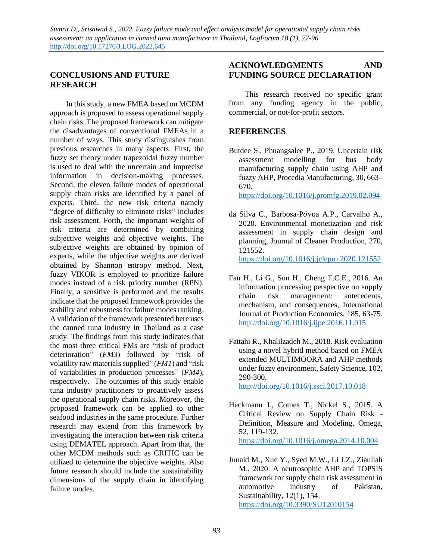## **CONCLUSIONS AND FUTURE RESEARCH**

In this study, a new FMEA based on MCDM approach is proposed to assess operational supply chain risks. The proposed framework can mitigate the disadvantages of conventional FMEAs in a number of ways. This study distinguishes from previous researches in many aspects. First, the fuzzy set theory under trapezoidal fuzzy number is used to deal with the uncertain and imprecise information in decision-making processes. Second, the eleven failure modes of operational supply chain risks are identified by a panel of experts. Third, the new risk criteria namely "degree of difficulty to eliminate risks" includes risk assessment. Forth, the important weights of risk criteria are determined by combining subjective weights and objective weights. The subjective weights are obtained by opinion of experts, while the objective weights are derived obtained by Shannon entropy method. Next, fuzzy VIKOR is employed to prioritize failure modes instead of a risk priority number (RPN). Finally, a sensitive is performed and the results indicate that the proposed framework provides the stability and robustness for failure modes ranking. A validation of the framework presented here uses the canned tuna industry in Thailand as a case study. The findings from this study indicates that the most three critical FMs are "risk of product deterioration" (*FM3*) followed by "risk of volatility raw materials supplied" (*FM1*) and "risk of variabilities in production processes" (*FM4*), respectively. The outcomes of this study enable tuna industry practitioners to proactively assess the operational supply chain risks. Moreover, the proposed framework can be applied to other seafood industries in the same procedure. Further research may extend from this framework by investigating the interaction between risk criteria using DEMATEL approach. Apart from that, the other MCDM methods such as CRITIC can be utilized to determine the objective weights. Also future research should include the sustainability dimensions of the supply chain in identifying failure modes.

## **ACKNOWLEDGMENTS AND FUNDING SOURCE DECLARATION**

This research received no specific grant from any funding agency in the public, commercial, or not-for-profit sectors.

## **REFERENCES**

Butdee S., Phuangsalee P., 2019. Uncertain risk assessment modelling for bus body manufacturing supply chain using AHP and fuzzy AHP, Procedia Manufacturing, 30, 663– 670.

<https://doi.org/10.1016/j.promfg.2019.02.094>

da Silva C., Barbosa-Ṕvoa A.P., Carvalho A., 2020. Environmental monetization and risk assessment in supply chain design and planning, Journal of Cleaner Production, 270, 121552.

<https://doi.org/10.1016/j.jclepro.2020.121552>

- Fan H., Li G., Sun H., Cheng T.C.E., 2016. An information processing perspective on supply chain risk management: antecedents, mechanism, and consequences, International Journal of Production Economics, 185, 63-75. <http://doi.org/10.1016/j.ijpe.2016.11.015>
- Fattahi R., Khalilzadeh M., 2018. Risk evaluation using a novel hybrid method based on FMEA extended MULTIMOORA and AHP methods under fuzzy environment, Safety Science, 102, 290-300.

<http://doi.org/10.1016/j.ssci.2017.10.018>

- Heckmann I., Comes T., Nickel S., 2015. A Critical Review on Supply Chain Risk - Definition, Measure and Modeling, Omega, 52, 119-132. <https://doi.org/10.1016/j.omega.2014.10.004>
- Junaid M., Xue Y., Syed M.W., Li J.Z., Ziaullah M., 2020. A neutrosophic AHP and TOPSIS framework for supply chain risk assessment in automotive industry of Pakistan, Sustainability, 12(1), 154. <https://doi.org/10.3390/SU12010154>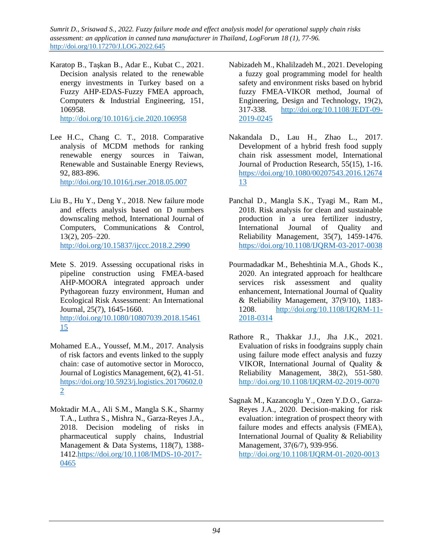Karatop B., Taşkan B., Adar E., Kubat C., 2021. Decision analysis related to the renewable energy investments in Turkey based on a Fuzzy AHP-EDAS-Fuzzy FMEA approach, Computers & Industrial Engineering, 151, 106958.

<http://doi.org/10.1016/j.cie.2020.106958>

Lee H.C., Chang C. T., 2018. Comparative analysis of MCDM methods for ranking renewable energy sources in Taiwan, Renewable and Sustainable Energy Reviews, 92, 883-896. <http://doi.org/10.1016/j.rser.2018.05.007>

- Liu B., Hu Y., Deng Y., 2018. New failure mode and effects analysis based on D numbers downscaling method, International Journal of Computers, Communications & Control, 13(2), 205–220. <http://doi.org/10.15837/ijccc.2018.2.2990>
- Mete S. 2019. Assessing occupational risks in pipeline construction using FMEA-based AHP-MOORA integrated approach under Pythagorean fuzzy environment, Human and Ecological Risk Assessment: An International Journal, 25(7), 1645-1660. [http://doi.org/10.1080/10807039.2018.15461](http://doi.org/10.1080/10807039.2018.1546115) [15](http://doi.org/10.1080/10807039.2018.1546115)
- Mohamed E.A., Youssef, M.M., 2017. Analysis of risk factors and events linked to the supply chain: case of automotive sector in Morocco, Journal of Logistics Management, 6(2), 41-51. [https://doi.org/10.5923/j.logistics.20170602.0](https://doi.org/10.5923/j.logistics.20170602.02) [2](https://doi.org/10.5923/j.logistics.20170602.02)
- Moktadir M.A., Ali S.M., Mangla S.K., Sharmy T.A., Luthra S., Mishra N., Garza-Reyes J.A., 2018. Decision modeling of risks in pharmaceutical supply chains, Industrial Management & Data Systems, 118(7), 1388- 1412[.https://doi.org/10.1108/IMDS-10-2017-](https://doi.org/10.1108/IMDS-10-2017-0465) [0465](https://doi.org/10.1108/IMDS-10-2017-0465)
- Nabizadeh M., Khalilzadeh M., 2021. Developing a fuzzy goal programming model for health safety and environment risks based on hybrid fuzzy FMEA-VIKOR method, Journal of Engineering, Design and Technology, 19(2), 317-338. [http://doi.org/10.1108/JEDT-09-](http://doi.org/10.1108/JEDT-09-2019-0245) [2019-0245](http://doi.org/10.1108/JEDT-09-2019-0245)
- Nakandala D., Lau H., Zhao L., 2017. Development of a hybrid fresh food supply chain risk assessment model, International Journal of Production Research, 55(15), 1-16. [https://doi.org/10.1080/00207543.2016.12674](https://doi.org/10.1080/00207543.2016.1267413) [13](https://doi.org/10.1080/00207543.2016.1267413)
- Panchal D., Mangla S.K., Tyagi M., Ram M., 2018. Risk analysis for clean and sustainable production in a urea fertilizer industry, International Journal of Quality and Reliability Management, 35(7), 1459-1476. <https://doi.org/10.1108/IJQRM-03-2017-0038>
- Pourmadadkar M., Beheshtinia M.A., Ghods K., 2020. An integrated approach for healthcare services risk assessment and quality enhancement, International Journal of Quality & Reliability Management, 37(9/10), 1183- 1208. [http://doi.org/10.1108/IJQRM-11-](http://doi.org/10.1108/IJQRM-11-2018-0314) [2018-0314](http://doi.org/10.1108/IJQRM-11-2018-0314)
- Rathore R., Thakkar J.J., Jha J.K., 2021. Evaluation of risks in foodgrains supply chain using failure mode effect analysis and fuzzy VIKOR, International Journal of Quality & Reliability Management, 38(2), 551-580. <http://doi.org/10.1108/IJQRM-02-2019-0070>
- Sagnak M., Kazancoglu Y., Ozen Y.D.O., Garza-Reyes J.A., 2020. Decision-making for risk evaluation: integration of prospect theory with failure modes and effects analysis (FMEA), International Journal of Quality & Reliability Management, 37(6/7), 939-956. <http://doi.org/10.1108/IJQRM-01-2020-0013>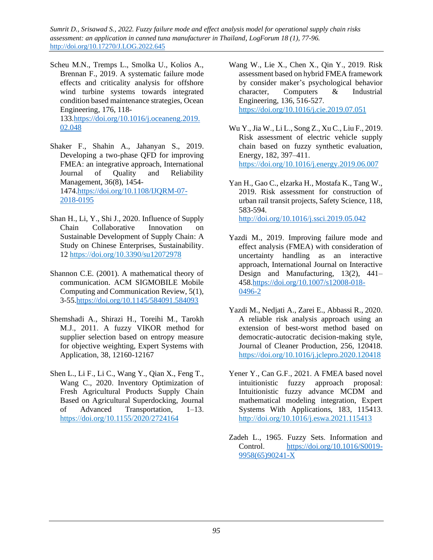- Scheu M.N., Tremps L., Smolka U., Kolios A., Brennan F., 2019. A systematic failure mode effects and criticality analysis for offshore wind turbine systems towards integrated condition based maintenance strategies, Ocean Engineering, 176, 118- 133[.https://doi.org/10.1016/j.oceaneng.2019.](https://doi.org/10.1016/j.oceaneng.2019.02.048) [02.048](https://doi.org/10.1016/j.oceaneng.2019.02.048)
- Shaker F., Shahin A., Jahanyan S., 2019. Developing a two-phase QFD for improving FMEA: an integrative approach, International<br>Journal of Quality and Reliability Journal of Quality and Reliability Management, 36(8), 1454- 1474[.https://doi.org/10.1108/IJQRM-07-](https://doi.org/10.1108/IJQRM-07-2018-0195) [2018-0195](https://doi.org/10.1108/IJQRM-07-2018-0195)
- Shan H., Li, Y., Shi J., 2020. Influence of Supply Chain Collaborative Innovation on Sustainable Development of Supply Chain: A Study on Chinese Enterprises, Sustainability. 12<https://doi.org/10.3390/su12072978>
- Shannon C.E. (2001). A mathematical theory of communication. ACM SIGMOBILE Mobile Computing and Communication Review, 5(1), 3-55[.https://doi.org/10.1145/584091.584093](https://doi.org/10.1145/584091.584093)
- Shemshadi A., Shirazi H., Toreihi M., Tarokh M.J., 2011. A fuzzy VIKOR method for supplier selection based on entropy measure for objective weighting, Expert Systems with Application, 38, 12160-12167
- Shen L., Li F., Li C., Wang Y., Qian X., Feng T., Wang C., 2020. Inventory Optimization of Fresh Agricultural Products Supply Chain Based on Agricultural Superdocking, Journal of Advanced Transportation, 1–13. <https://doi.org/10.1155/2020/2724164>
- Wang W., Lie X., Chen X., Qin Y., 2019. Risk assessment based on hybrid FMEA framework by consider maker's psychological behavior character, Computers & Industrial Engineering, 136, 516-527. <https://doi.org/10.1016/j.cie.2019.07.051>
- Wu Y., Jia W., Li L., Song Z., Xu C., Liu F., 2019. Risk assessment of electric vehicle supply chain based on fuzzy synthetic evaluation, Energy, 182, 397–411. <https://doi.org/10.1016/j.energy.2019.06.007>
- Yan H., Gao C., elzarka H., Mostafa K., Tang W., 2019. Risk assessment for construction of urban rail transit projects, Safety Science, 118, 583-594. <http://doi.org/10.1016/j.ssci.2019.05.042>
- Yazdi M., 2019. Improving failure mode and effect analysis (FMEA) with consideration of uncertainty handling as an interactive approach, International Journal on Interactive Design and Manufacturing, 13(2), 441– 458[.https://doi.org/10.1007/s12008-018-](https://doi.org/10.1007/s12008-018-0496-2) [0496-2](https://doi.org/10.1007/s12008-018-0496-2)
- Yazdi M., Nedjati A., Zarei E., Abbassi R., 2020. A reliable risk analysis approach using an extension of best-worst method based on democratic-autocratic decision-making style, Journal of Cleaner Production, 256, 120418. <https://doi.org/10.1016/j.jclepro.2020.120418>
- Yener Y., Can G.F., 2021. A FMEA based novel intuitionistic fuzzy approach proposal: Intuitionistic fuzzy advance MCDM and mathematical modeling integration, Expert Systems With Applications, 183, 115413. <http://doi.org/10.1016/j.eswa.2021.115413>
- Zadeh L., 1965. Fuzzy Sets. Information and Control. [https://doi.org/10.1016/S0019-](https://doi.org/10.1016/S0019-9958(65)90241-X) [9958\(65\)90241-X](https://doi.org/10.1016/S0019-9958(65)90241-X)